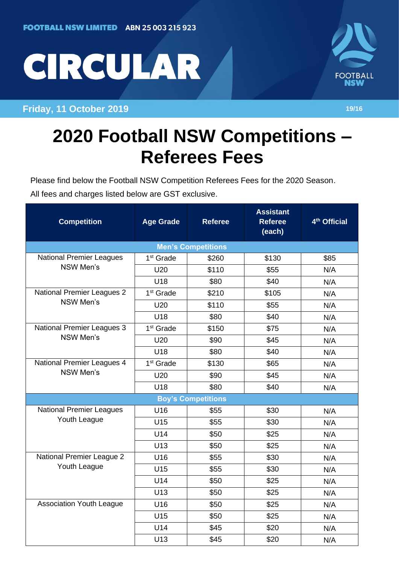## CIRCULAR

## **Friday, 11 October 2019 19/16**



## **2020 Football NSW Competitions – Referees Fees**

Please find below the Football NSW Competition Referees Fees for the 2020 Season. All fees and charges listed below are GST exclusive.

| <b>Competition</b>                                  | <b>Age Grade</b>      | <b>Referee</b> | <b>Assistant</b><br><b>Referee</b><br>(each) | 4 <sup>th</sup> Official |  |  |  |
|-----------------------------------------------------|-----------------------|----------------|----------------------------------------------|--------------------------|--|--|--|
| <b>Men's Competitions</b>                           |                       |                |                                              |                          |  |  |  |
| <b>National Premier Leagues</b><br><b>NSW Men's</b> | 1 <sup>st</sup> Grade | \$260          | \$130                                        | \$85                     |  |  |  |
|                                                     | U20                   | \$110          | \$55                                         | N/A                      |  |  |  |
|                                                     | U18                   | \$80           | \$40                                         | N/A                      |  |  |  |
| <b>National Premier Leagues 2</b><br>NSW Men's      | 1 <sup>st</sup> Grade | \$210          | \$105                                        | N/A                      |  |  |  |
|                                                     | U20                   | \$110          | \$55                                         | N/A                      |  |  |  |
|                                                     | U18                   | \$80           | \$40                                         | N/A                      |  |  |  |
| <b>National Premier Leagues 3</b><br>NSW Men's      | 1 <sup>st</sup> Grade | \$150          | \$75                                         | N/A                      |  |  |  |
|                                                     | U20                   | \$90           | \$45                                         | N/A                      |  |  |  |
|                                                     | U18                   | \$80           | \$40                                         | N/A                      |  |  |  |
| National Premier Leagues 4<br><b>NSW Men's</b>      | 1 <sup>st</sup> Grade | \$130          | \$65                                         | N/A                      |  |  |  |
|                                                     | U20                   | \$90           | \$45                                         | N/A                      |  |  |  |
|                                                     | U18                   | \$80           | \$40                                         | N/A                      |  |  |  |
| <b>Boy's Competitions</b>                           |                       |                |                                              |                          |  |  |  |
| <b>National Premier Leagues</b><br>Youth League     | U16                   | \$55           | \$30                                         | N/A                      |  |  |  |
|                                                     | U15                   | \$55           | \$30                                         | N/A                      |  |  |  |
|                                                     | U14                   | \$50           | \$25                                         | N/A                      |  |  |  |
|                                                     | U13                   | \$50           | \$25                                         | N/A                      |  |  |  |
| National Premier League 2<br>Youth League           | U16                   | \$55           | \$30                                         | N/A                      |  |  |  |
|                                                     | U15                   | \$55           | \$30                                         | N/A                      |  |  |  |
|                                                     | U14                   | \$50           | \$25                                         | N/A                      |  |  |  |
|                                                     | U13                   | \$50           | \$25                                         | N/A                      |  |  |  |
| <b>Association Youth League</b>                     | U16                   | \$50           | \$25                                         | N/A                      |  |  |  |
|                                                     | U15                   | \$50           | \$25                                         | N/A                      |  |  |  |
|                                                     | U14                   | \$45           | \$20                                         | N/A                      |  |  |  |
|                                                     | U13                   | \$45           | \$20                                         | N/A                      |  |  |  |